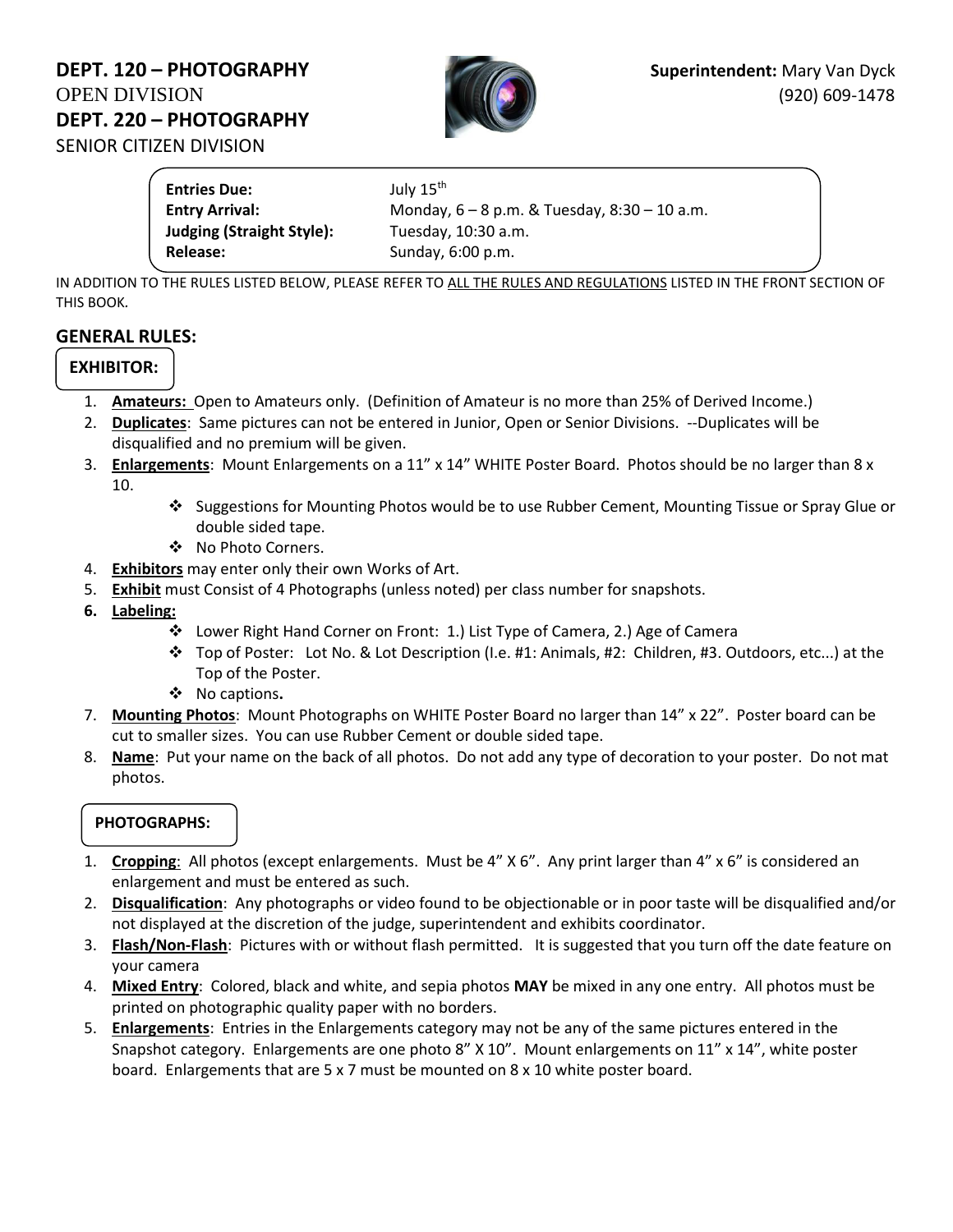# **DEPT. 120 – PHOTOGRAPHY Superintendent:** Mary Van Dyck OPEN DIVISION (920) 609-1478 **DEPT. 220 – PHOTOGRAPHY**  SENIOR CITIZEN DIVISION



**Entries Due:** July 15<sup>th</sup> **Entry Arrival:** Monday, 6 – 8 p.m. & Tuesday, 8:30 – 10 a.m. **Judging (Straight Style):** Tuesday, 10:30 a.m. **Release:** Sunday, 6:00 p.m.

IN ADDITION TO THE RULES LISTED BELOW, PLEASE REFER TO ALL THE RULES AND REGULATIONS LISTED IN THE FRONT SECTION OF THIS BOOK*.*

## **GENERAL RULES:**

## **EXHIBITOR:**

- 1. **Amateurs:** Open to Amateurs only. (Definition of Amateur is no more than 25% of Derived Income.)
- 2. **Duplicates**: Same pictures can not be entered in Junior, Open or Senior Divisions. --Duplicates will be disqualified and no premium will be given.
- 3. **Enlargements**: Mount Enlargements on a 11" x 14" WHITE Poster Board. Photos should be no larger than 8 x 10.
	- ❖ Suggestions for Mounting Photos would be to use Rubber Cement, Mounting Tissue or Spray Glue or double sided tape.
	- ❖ No Photo Corners.
- 4. **Exhibitors** may enter only their own Works of Art.
- 5. **Exhibit** must Consist of 4 Photographs (unless noted) per class number for snapshots.
- **6. Labeling:** 
	- ❖ Lower Right Hand Corner on Front: 1.) List Type of Camera, 2.) Age of Camera
	- ❖ Top of Poster: Lot No. & Lot Description (I.e. #1: Animals, #2: Children, #3. Outdoors, etc...) at the Top of the Poster.
	- ❖ No captions**.**
- 7. **Mounting Photos**: Mount Photographs on WHITE Poster Board no larger than 14" x 22". Poster board can be cut to smaller sizes. You can use Rubber Cement or double sided tape.
- 8. **Name**: Put your name on the back of all photos. Do not add any type of decoration to your poster. Do not mat photos.

#### **PHOTOGRAPHS:**

- 1. **Cropping**: All photos (except enlargements. Must be 4" X 6". Any print larger than 4" x 6" is considered an enlargement and must be entered as such.
- 2. **Disqualification**: Any photographs or video found to be objectionable or in poor taste will be disqualified and/or not displayed at the discretion of the judge, superintendent and exhibits coordinator.
- 3. **Flash/Non-Flash**: Pictures with or without flash permitted. It is suggested that you turn off the date feature on your camera
- 4. **Mixed Entry**: Colored, black and white, and sepia photos **MAY** be mixed in any one entry. All photos must be printed on photographic quality paper with no borders.
- 5. **Enlargements**: Entries in the Enlargements category may not be any of the same pictures entered in the Snapshot category. Enlargements are one photo 8" X 10". Mount enlargements on 11" x 14", white poster board. Enlargements that are 5 x 7 must be mounted on 8 x 10 white poster board.